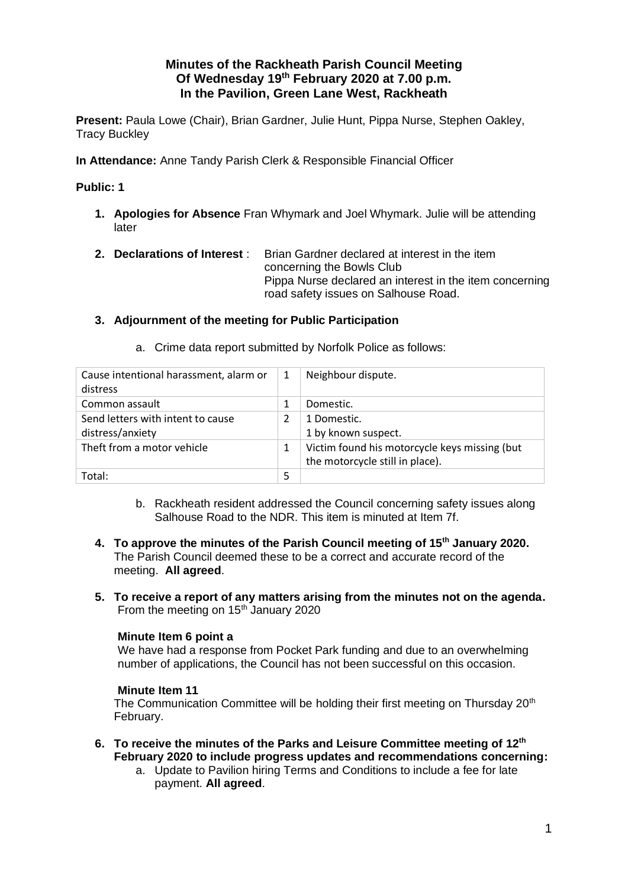# **Minutes of the Rackheath Parish Council Meeting Of Wednesday 19 th February 2020 at 7.00 p.m. In the Pavilion, Green Lane West, Rackheath**

**Present:** Paula Lowe (Chair), Brian Gardner, Julie Hunt, Pippa Nurse, Stephen Oakley, Tracy Buckley

**In Attendance:** Anne Tandy Parish Clerk & Responsible Financial Officer

## **Public: 1**

- **1. Apologies for Absence** Fran Whymark and Joel Whymark. Julie will be attending later
- **2. Declarations of Interest** : Brian Gardner declared at interest in the item concerning the Bowls Club Pippa Nurse declared an interest in the item concerning road safety issues on Salhouse Road.

## **3. Adjournment of the meeting for Public Participation**

| Cause intentional harassment, alarm or<br>distress    | 1 | Neighbour dispute.                                                               |
|-------------------------------------------------------|---|----------------------------------------------------------------------------------|
| Common assault                                        |   | Domestic.                                                                        |
| Send letters with intent to cause<br>distress/anxiety |   | 1 Domestic.<br>1 by known suspect.                                               |
| Theft from a motor vehicle                            | 1 | Victim found his motorcycle keys missing (but<br>the motorcycle still in place). |
| Total:                                                | 5 |                                                                                  |

a. Crime data report submitted by Norfolk Police as follows:

- b. Rackheath resident addressed the Council concerning safety issues along Salhouse Road to the NDR. This item is minuted at Item 7f.
- **4. To approve the minutes of the Parish Council meeting of 15th January 2020.**  The Parish Council deemed these to be a correct and accurate record of the meeting. **All agreed**.
- **5. To receive a report of any matters arising from the minutes not on the agenda.** From the meeting on  $15<sup>th</sup>$  January 2020

### **Minute Item 6 point a**

We have had a response from Pocket Park funding and due to an overwhelming number of applications, the Council has not been successful on this occasion.

### **Minute Item 11**

The Communication Committee will be holding their first meeting on Thursday 20<sup>th</sup> February.

- **6. To receive the minutes of the Parks and Leisure Committee meeting of 12th February 2020 to include progress updates and recommendations concerning:**
	- a. Update to Pavilion hiring Terms and Conditions to include a fee for late payment. **All agreed**.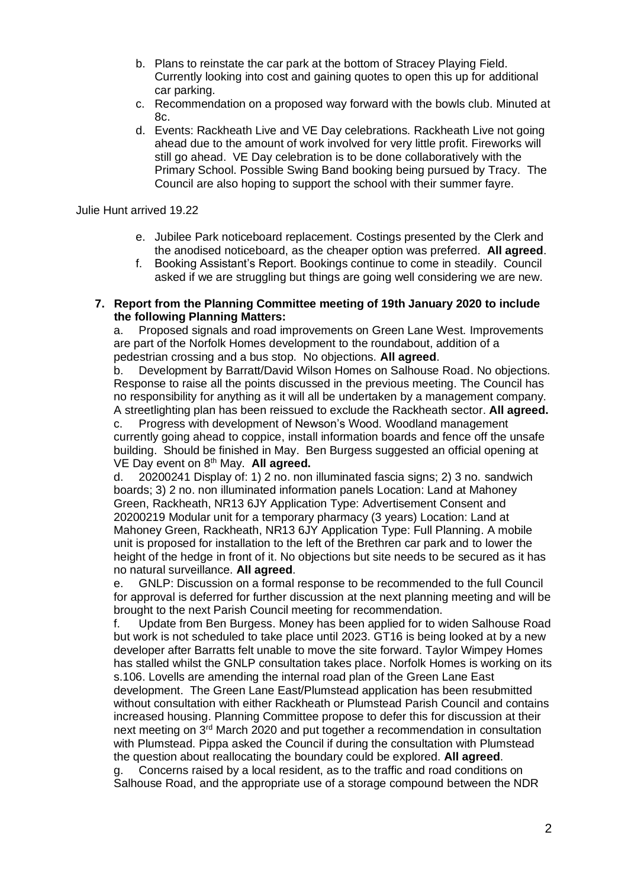- b. Plans to reinstate the car park at the bottom of Stracey Playing Field. Currently looking into cost and gaining quotes to open this up for additional car parking.
- c. Recommendation on a proposed way forward with the bowls club. Minuted at 8c.
- d. Events: Rackheath Live and VE Day celebrations. Rackheath Live not going ahead due to the amount of work involved for very little profit. Fireworks will still go ahead. VE Day celebration is to be done collaboratively with the Primary School. Possible Swing Band booking being pursued by Tracy. The Council are also hoping to support the school with their summer fayre.

Julie Hunt arrived 19.22

- e. Jubilee Park noticeboard replacement. Costings presented by the Clerk and the anodised noticeboard, as the cheaper option was preferred. **All agreed**.
- f. Booking Assistant's Report. Bookings continue to come in steadily. Council asked if we are struggling but things are going well considering we are new.

#### **7. Report from the Planning Committee meeting of 19th January 2020 to include the following Planning Matters:**

a. Proposed signals and road improvements on Green Lane West. Improvements are part of the Norfolk Homes development to the roundabout, addition of a pedestrian crossing and a bus stop. No objections. **All agreed**.

b. Development by Barratt/David Wilson Homes on Salhouse Road. No objections. Response to raise all the points discussed in the previous meeting. The Council has no responsibility for anything as it will all be undertaken by a management company. A streetlighting plan has been reissued to exclude the Rackheath sector. **All agreed.**

c. Progress with development of Newson's Wood. Woodland management currently going ahead to coppice, install information boards and fence off the unsafe building. Should be finished in May. Ben Burgess suggested an official opening at VE Day event on 8th May. **All agreed.**

d. 20200241 Display of: 1) 2 no. non illuminated fascia signs; 2) 3 no. sandwich boards; 3) 2 no. non illuminated information panels Location: Land at Mahoney Green, Rackheath, NR13 6JY Application Type: Advertisement Consent and 20200219 Modular unit for a temporary pharmacy (3 years) Location: Land at Mahoney Green, Rackheath, NR13 6JY Application Type: Full Planning. A mobile unit is proposed for installation to the left of the Brethren car park and to lower the height of the hedge in front of it. No objections but site needs to be secured as it has no natural surveillance. **All agreed**.

e. GNLP: Discussion on a formal response to be recommended to the full Council for approval is deferred for further discussion at the next planning meeting and will be brought to the next Parish Council meeting for recommendation.

f. Update from Ben Burgess. Money has been applied for to widen Salhouse Road but work is not scheduled to take place until 2023. GT16 is being looked at by a new developer after Barratts felt unable to move the site forward. Taylor Wimpey Homes has stalled whilst the GNLP consultation takes place. Norfolk Homes is working on its s.106. Lovells are amending the internal road plan of the Green Lane East development. The Green Lane East/Plumstead application has been resubmitted without consultation with either Rackheath or Plumstead Parish Council and contains increased housing. Planning Committee propose to defer this for discussion at their next meeting on  $3<sup>rd</sup>$  March 2020 and put together a recommendation in consultation with Plumstead. Pippa asked the Council if during the consultation with Plumstead the question about reallocating the boundary could be explored. **All agreed**.

g. Concerns raised by a local resident, as to the traffic and road conditions on Salhouse Road, and the appropriate use of a storage compound between the NDR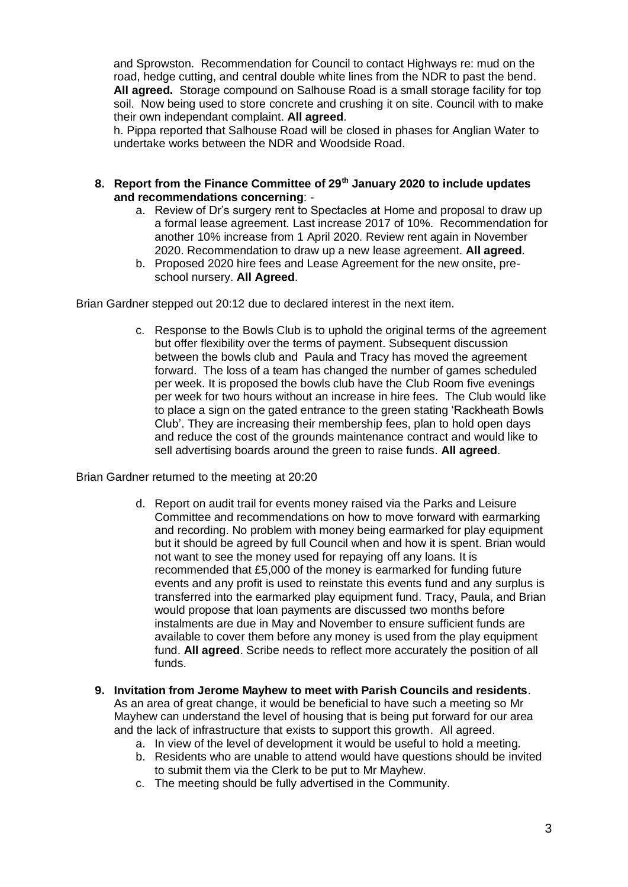and Sprowston. Recommendation for Council to contact Highways re: mud on the road, hedge cutting, and central double white lines from the NDR to past the bend. **All agreed.** Storage compound on Salhouse Road is a small storage facility for top soil. Now being used to store concrete and crushing it on site. Council with to make their own independant complaint. **All agreed**.

h. Pippa reported that Salhouse Road will be closed in phases for Anglian Water to undertake works between the NDR and Woodside Road.

- **8. Report from the Finance Committee of 29th January 2020 to include updates and recommendations concerning**:
	- a. Review of Dr's surgery rent to Spectacles at Home and proposal to draw up a formal lease agreement. Last increase 2017 of 10%. Recommendation for another 10% increase from 1 April 2020. Review rent again in November 2020. Recommendation to draw up a new lease agreement. **All agreed**.
	- b. Proposed 2020 hire fees and Lease Agreement for the new onsite, preschool nursery. **All Agreed**.

Brian Gardner stepped out 20:12 due to declared interest in the next item.

c. Response to the Bowls Club is to uphold the original terms of the agreement but offer flexibility over the terms of payment. Subsequent discussion between the bowls club and Paula and Tracy has moved the agreement forward. The loss of a team has changed the number of games scheduled per week. It is proposed the bowls club have the Club Room five evenings per week for two hours without an increase in hire fees. The Club would like to place a sign on the gated entrance to the green stating 'Rackheath Bowls Club'. They are increasing their membership fees, plan to hold open days and reduce the cost of the grounds maintenance contract and would like to sell advertising boards around the green to raise funds. **All agreed**.

Brian Gardner returned to the meeting at 20:20

- d. Report on audit trail for events money raised via the Parks and Leisure Committee and recommendations on how to move forward with earmarking and recording. No problem with money being earmarked for play equipment but it should be agreed by full Council when and how it is spent. Brian would not want to see the money used for repaying off any loans. It is recommended that £5,000 of the money is earmarked for funding future events and any profit is used to reinstate this events fund and any surplus is transferred into the earmarked play equipment fund. Tracy, Paula, and Brian would propose that loan payments are discussed two months before instalments are due in May and November to ensure sufficient funds are available to cover them before any money is used from the play equipment fund. **All agreed**. Scribe needs to reflect more accurately the position of all funds.
- **9. Invitation from Jerome Mayhew to meet with Parish Councils and residents**. As an area of great change, it would be beneficial to have such a meeting so Mr Mayhew can understand the level of housing that is being put forward for our area and the lack of infrastructure that exists to support this growth. All agreed.
	- a. In view of the level of development it would be useful to hold a meeting.
	- b. Residents who are unable to attend would have questions should be invited to submit them via the Clerk to be put to Mr Mayhew.
	- c. The meeting should be fully advertised in the Community.